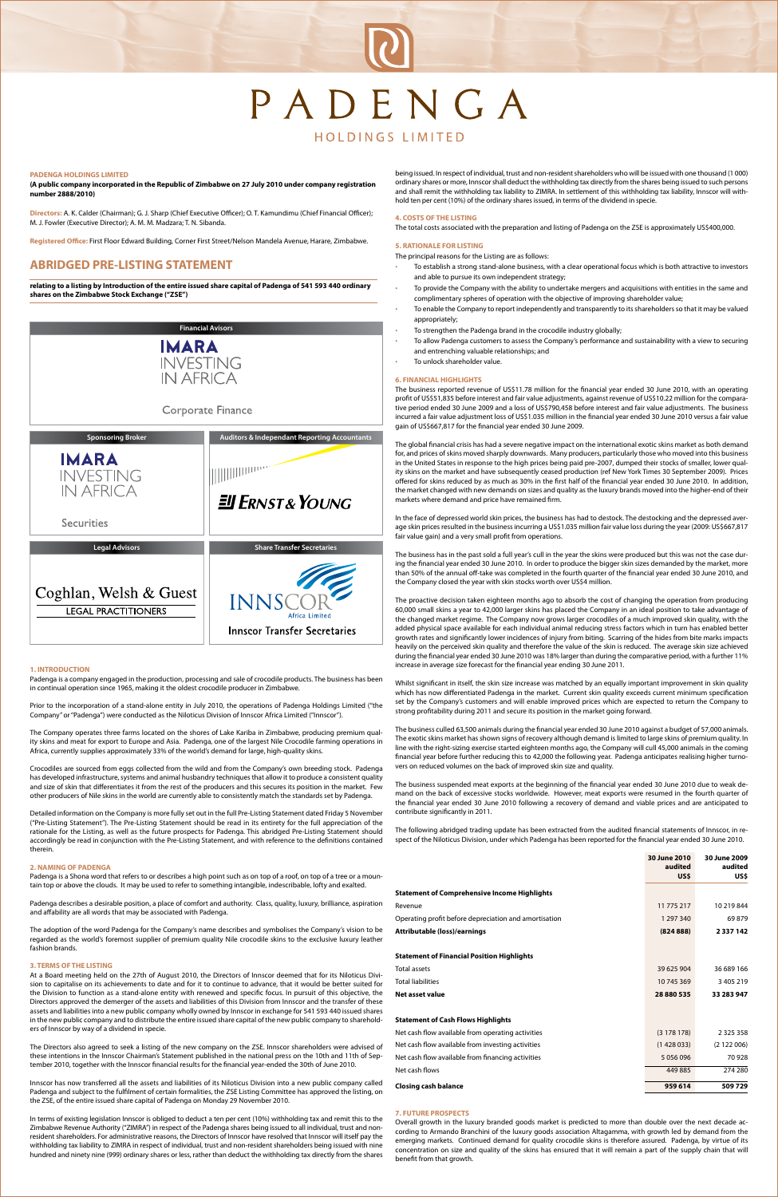# PADENGA

# **HOLDINGS LIMITED**

#### **1. INTRODUCTION**

Padenga is a company engaged in the production, processing and sale of crocodile products. The business has been in continual operation since 1965, making it the oldest crocodile producer in Zimbabwe.

Prior to the incorporation of a stand-alone entity in July 2010, the operations of Padenga Holdings Limited ("the Company" or "Padenga") were conducted as the Niloticus Division of Innscor Africa Limited ("Innscor").

The Company operates three farms located on the shores of Lake Kariba in Zimbabwe, producing premium quality skins and meat for export to Europe and Asia. Padenga, one of the largest Nile Crocodile farming operations in Africa, currently supplies approximately 33% of the world's demand for large, high-quality skins.

Padenga is a Shona word that refers to or describes a high point such as on top of a roof, on top of a tree or a mountain top or above the clouds. It may be used to refer to something intangible, indescribable, lofty and exalted.

Crocodiles are sourced from eggs collected from the wild and from the Company's own breeding stock. Padenga has developed infrastructure, systems and animal husbandry techniques that allow it to produce a consistent quality and size of skin that differentiates it from the rest of the producers and this secures its position in the market. Few other producers of Nile skins in the world are currently able to consistently match the standards set by Padenga.

Detailed information on the Company is more fully set out in the full Pre-Listing Statement dated Friday 5 November ("Pre-Listing Statement"). The Pre-Listing Statement should be read in its entirety for the full appreciation of the rationale for the Listing, as well as the future prospects for Padenga. This abridged Pre-Listing Statement should accordingly be read in conjunction with the Pre-Listing Statement, and with reference to the definitions contained therein.

# **2. NAMING OF PADENGA**

Padenga describes a desirable position, a place of comfort and authority. Class, quality, luxury, brilliance, aspiration and affability are all words that may be associated with Padenga.

The adoption of the word Padenga for the Company's name describes and symbolises the Company's vision to be regarded as the world's foremost supplier of premium quality Nile crocodile skins to the exclusive luxury leather fashion brands.

#### **3. TERMS OF THE LISTING**

- To establish a strong stand-alone business, with a clear operational focus which is both attractive to investors and able to pursue its own independent strategy;
- To provide the Company with the ability to undertake mergers and acquisitions with entities in the same and complimentary spheres of operation with the objective of improving shareholder value;
- To enable the Company to report independently and transparently to its shareholders so that it may be valued appropriately;
- To strengthen the Padenga brand in the crocodile industry globally;
- To allow Padenga customers to assess the Company's performance and sustainability with a view to securing and entrenching valuable relationships; and
- To unlock shareholder value.

At a Board meeting held on the 27th of August 2010, the Directors of Innscor deemed that for its Niloticus Division to capitalise on its achievements to date and for it to continue to advance, that it would be better suited for the Division to function as a stand-alone entity with renewed and specific focus. In pursuit of this objective, the Directors approved the demerger of the assets and liabilities of this Division from Innscor and the transfer of these assets and liabilities into a new public company wholly owned by Innscor in exchange for 541 593 440 issued shares in the new public company and to distribute the entire issued share capital of the new public company to shareholders of Innscor by way of a dividend in specie.

The Directors also agreed to seek a listing of the new company on the ZSE. Innscor shareholders were advised of these intentions in the Innscor Chairman's Statement published in the national press on the 10th and 11th of September 2010, together with the Innscor financial results for the financial year-ended the 30th of June 2010.

Innscor has now transferred all the assets and liabilities of its Niloticus Division into a new public company called Padenga and subject to the fulfilment of certain formalities, the ZSE Listing Committee has approved the listing, on the ZSE, of the entire issued share capital of Padenga on Monday 29 November 2010.

In terms of existing legislation Innscor is obliged to deduct a ten per cent (10%) withholding tax and remit this to the Zimbabwe Revenue Authority ("ZIMRA") in respect of the Padenga shares being issued to all individual, trust and nonresident shareholders. For administrative reasons, the Directors of Innscor have resolved that Innscor will itself pay the withholding tax liability to ZIMRA in respect of individual, trust and non-resident shareholders being issued with nine hundred and ninety nine (999) ordinary shares or less, rather than deduct the withholding tax directly from the shares being issued. In respect of individual, trust and non-resident shareholders who will be issued with one thousand (1 000) ordinary shares or more, Innscor shall deduct the withholding tax directly from the shares being issued to such persons and shall remit the withholding tax liability to ZIMRA. In settlement of this withholding tax liability, Innscor will withhold ten per cent (10%) of the ordinary shares issued, in terms of the dividend in specie.

### **4. COSTS OF THE LISTING**

The total costs associated with the preparation and listing of Padenga on the ZSE is approximately US\$400,000.

# **5. RATIONALE FOR LISTING**

The principal reasons for the Listing are as follows:

#### **6. FINANCIAL HIGHLIGHTS**

The business reported revenue of US\$11.78 million for the financial year ended 30 June 2010, with an operating profit of US\$51,835 before interest and fair value adjustments, against revenue of US\$10.22 million for the comparative period ended 30 June 2009 and a loss of US\$790,458 before interest and fair value adjustments. The business incurred a fair value adjustment loss of US\$1.035 million in the financial year ended 30 June 2010 versus a fair value gain of US\$667,817 for the financial year ended 30 June 2009.

The global financial crisis has had a severe negative impact on the international exotic skins market as both demand for, and prices of skins moved sharply downwards. Many producers, particularly those who moved into this business in the United States in response to the high prices being paid pre-2007, dumped their stocks of smaller, lower quality skins on the market and have subsequently ceased production (ref New York Times 30 September 2009). Prices offered for skins reduced by as much as 30% in the first half of the financial year ended 30 June 2010. In addition, the market changed with new demands on sizes and quality as the luxury brands moved into the higher-end of their markets where demand and price have remained firm.

In the face of depressed world skin prices, the business has had to destock. The destocking and the depressed average skin prices resulted in the business incurring a US\$1.035 million fair value loss during the year (2009: US\$667,817 fair value gain) and a very small profit from operations.

The business has in the past sold a full year's cull in the year the skins were produced but this was not the case during the financial year ended 30 June 2010. In order to produce the bigger skin sizes demanded by the market, more than 50% of the annual off-take was completed in the fourth quarter of the financial year ended 30 June 2010, and the Company closed the year with skin stocks worth over US\$4 million.

The proactive decision taken eighteen months ago to absorb the cost of changing the operation from producing 60,000 small skins a year to 42,000 larger skins has placed the Company in an ideal position to take advantage of the changed market regime. The Company now grows larger crocodiles of a much improved skin quality, with the added physical space available for each individual animal reducing stress factors which in turn has enabled better growth rates and significantly lower incidences of injury from biting. Scarring of the hides from bite marks impacts heavily on the perceived skin quality and therefore the value of the skin is reduced. The average skin size achieved during the financial year ended 30 June 2010 was 18% larger than during the comparative period, with a further 11% increase in average size forecast for the financial year ending 30 June 2011.

Whilst significant in itself, the skin size increase was matched by an equally important improvement in skin quality which has now differentiated Padenga in the market. Current skin quality exceeds current minimum specification set by the Company's customers and will enable improved prices which are expected to return the Company to strong profitability during 2011 and secure its position in the market going forward.

The business culled 63,500 animals during the financial year ended 30 June 2010 against a budget of 57,000 animals. The exotic skins market has shown signs of recovery although demand is limited to large skins of premium quality. In line with the right-sizing exercise started eighteen months ago, the Company will cull 45,000 animals in the coming financial year before further reducing this to 42,000 the following year. Padenga anticipates realising higher turnovers on reduced volumes on the back of improved skin size and quality.

The business suspended meat exports at the beginning of the financial year ended 30 June 2010 due to weak demand on the back of excessive stocks worldwide. However, meat exports were resumed in the fourth quarter of the financial year ended 30 June 2010 following a recovery of demand and viable prices and are anticipated to contribute significantly in 2011.

The following abridged trading update has been extracted from the audited financial statements of Innscor, in respect of the Niloticus Division, under which Padenga has been reported for the financial year ended 30 June 2010.

**30 June 2010 30 June 2009** 

|                                                       | audited<br>US\$ | audited<br>US\$ |
|-------------------------------------------------------|-----------------|-----------------|
| <b>Statement of Comprehensive Income Highlights</b>   |                 |                 |
| Revenue                                               | 11 775 217      | 10 219 844      |
| Operating profit before depreciation and amortisation | 1 297 340       | 69879           |
| <b>Attributable (loss)/earnings</b>                   | (82488)         | 2337142         |

# **Statement of Financial Position Highlights**

| <b>Total assets</b>                               | 39 625 904 | 36 689 166    |
|---------------------------------------------------|------------|---------------|
| <b>Total liabilities</b>                          | 10 745 369 | 3 405 219     |
| Net asset value                                   | 28880535   | 33 283 947    |
|                                                   |            |               |
| <b>Statement of Cash Flows Highlights</b>         |            |               |
| Net cash flow available from operating activities | (3178178)  | 2 3 2 5 3 5 8 |
| Net cash flow available from investing activities | (1428033)  | (2122006)     |
| Net cash flow available from financing activities | 5 056 096  | 70928         |
| Net cash flows                                    | 449 885    | 274 280       |
| <b>Closing cash balance</b>                       | 959 614    | 509729        |

#### **7. FUTURE PROSPECTS**

Overall growth in the luxury branded goods market is predicted to more than double over the next decade according to Armando Branchini of the luxury goods association Altagamma, with growth led by demand from the emerging markets. Continued demand for quality crocodile skins is therefore assured. Padenga, by virtue of its concentration on size and quality of the skins has ensured that it will remain a part of the supply chain that will benefit from that growth.

#### **PADENGA HOLDINGS LIMITED**

**(A public company incorporated in the Republic of Zimbabwe on 27 July 2010 under company registration number 2888/2010)**

**Directors:** A. K. Calder (Chairman); G. J. Sharp (Chief Executive Officer); O. T. Kamundimu (Chief Financial Officer); M. J. Fowler (Executive Director); A. M. M. Madzara; T. N. Sibanda.

**Registered Office:** First Floor Edward Building, Corner First Street/Nelson Mandela Avenue, Harare, Zimbabwe.

# **ABRIDGED PRE-LISTING STATEMENT**

**relating to a listing by Introduction of the entire issued share capital of Padenga of 541 593 440 ordinary shares on the Zimbabwe Stock Exchange ("ZSE")**